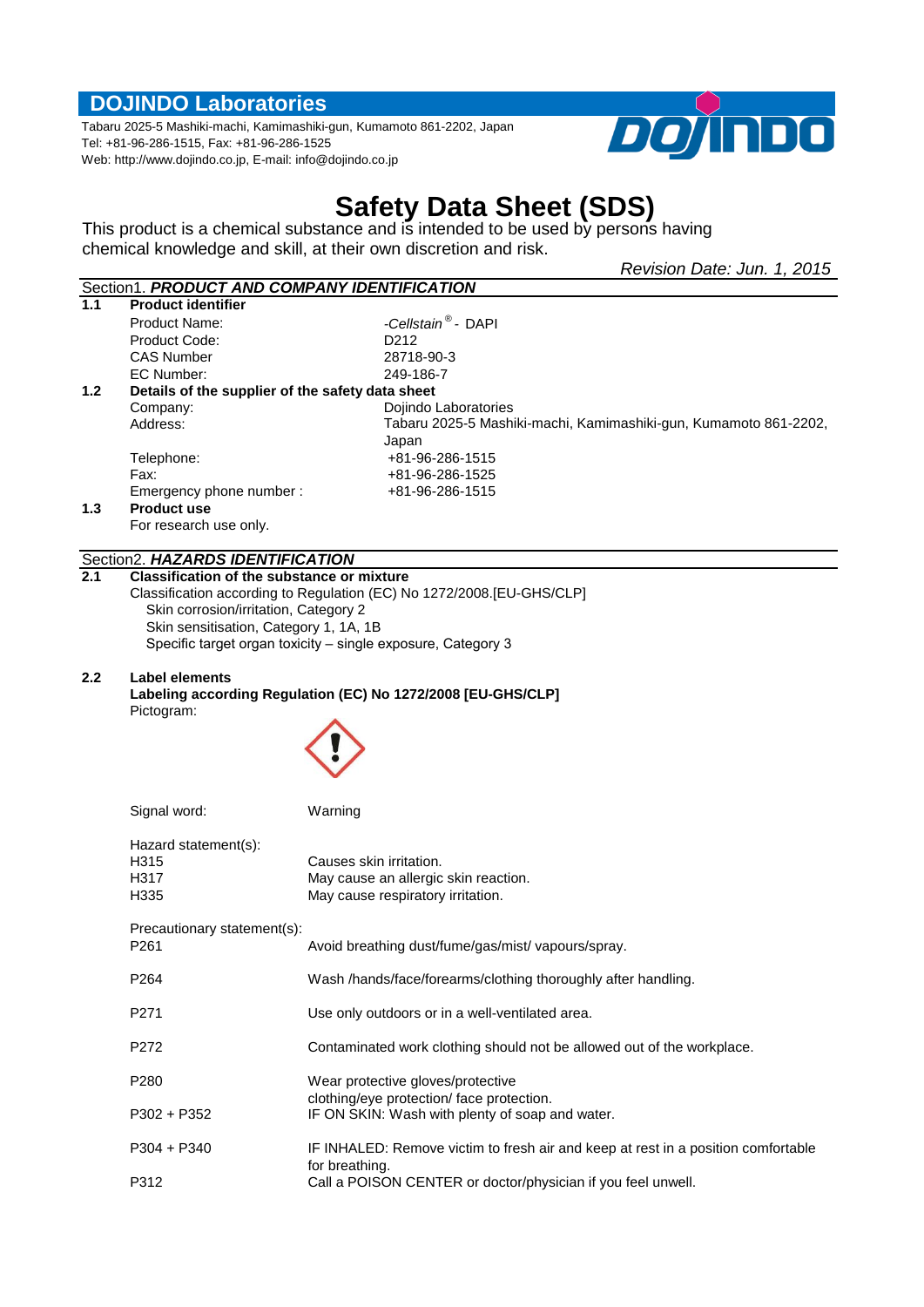### **DOJINDO Laboratories**

Tabaru 2025-5 Mashiki-machi, Kamimashiki-gun, Kumamoto 861-2202, Japan Tel: +81-96-286-1515, Fax: +81-96-286-1525 Web: http://www.dojindo.co.jp, E-mail: info@dojindo.co.jp



# **Safety Data Sheet (SDS)**

This product is a chemical substance and is intended to be used by persons having chemical knowledge and skill, at their own discretion and risk.

|     |                                                   | Revision Date: Jun. 1, 2015                                                       |  |
|-----|---------------------------------------------------|-----------------------------------------------------------------------------------|--|
|     |                                                   | Section1. PRODUCT AND COMPANY IDENTIFICATION                                      |  |
| 1.1 | <b>Product identifier</b>                         |                                                                                   |  |
|     | <b>Product Name:</b>                              | -Cellstain <sup>®</sup> - DAPI                                                    |  |
|     | Product Code:                                     | D <sub>2</sub> 12                                                                 |  |
|     | <b>CAS Number</b>                                 | 28718-90-3                                                                        |  |
|     | EC Number:                                        | 249-186-7                                                                         |  |
| 1.2 | Details of the supplier of the safety data sheet  |                                                                                   |  |
|     | Company:                                          | Dojindo Laboratories                                                              |  |
|     | Address:                                          | Tabaru 2025-5 Mashiki-machi, Kamimashiki-gun, Kumamoto 861-2202,                  |  |
|     |                                                   | Japan                                                                             |  |
|     | Telephone:                                        | +81-96-286-1515                                                                   |  |
|     | Fax:                                              | +81-96-286-1525<br>+81-96-286-1515                                                |  |
| 1.3 | Emergency phone number:<br><b>Product use</b>     |                                                                                   |  |
|     | For research use only.                            |                                                                                   |  |
|     |                                                   |                                                                                   |  |
|     | Section2. HAZARDS IDENTIFICATION                  |                                                                                   |  |
| 2.1 | <b>Classification of the substance or mixture</b> |                                                                                   |  |
|     |                                                   | Classification according to Regulation (EC) No 1272/2008. [EU-GHS/CLP]            |  |
|     | Skin corrosion/irritation, Category 2             |                                                                                   |  |
|     | Skin sensitisation, Category 1, 1A, 1B            | Specific target organ toxicity - single exposure, Category 3                      |  |
|     |                                                   |                                                                                   |  |
| 2.2 | Label elements                                    |                                                                                   |  |
|     |                                                   | Labeling according Regulation (EC) No 1272/2008 [EU-GHS/CLP]                      |  |
|     | Pictogram:                                        |                                                                                   |  |
|     |                                                   |                                                                                   |  |
|     |                                                   |                                                                                   |  |
|     |                                                   |                                                                                   |  |
|     |                                                   |                                                                                   |  |
|     | Signal word:                                      | Warning                                                                           |  |
|     |                                                   |                                                                                   |  |
|     | Hazard statement(s):                              |                                                                                   |  |
|     | H315                                              | Causes skin irritation.                                                           |  |
|     | H317                                              | May cause an allergic skin reaction.                                              |  |
|     | H335                                              | May cause respiratory irritation.                                                 |  |
|     | Precautionary statement(s):                       |                                                                                   |  |
|     | P <sub>261</sub>                                  | Avoid breathing dust/fume/gas/mist/ vapours/spray.                                |  |
|     |                                                   |                                                                                   |  |
|     | P264                                              | Wash /hands/face/forearms/clothing thoroughly after handling.                     |  |
|     |                                                   |                                                                                   |  |
|     | P <sub>271</sub>                                  | Use only outdoors or in a well-ventilated area.                                   |  |
|     | P272                                              | Contaminated work clothing should not be allowed out of the workplace.            |  |
|     |                                                   |                                                                                   |  |
|     | P280                                              | Wear protective gloves/protective                                                 |  |
|     |                                                   | clothing/eye protection/ face protection.                                         |  |
|     | P302 + P352                                       | IF ON SKIN: Wash with plenty of soap and water.                                   |  |
|     |                                                   |                                                                                   |  |
|     | $P304 + P340$                                     | IF INHALED: Remove victim to fresh air and keep at rest in a position comfortable |  |
|     |                                                   | for breathing.                                                                    |  |
|     | P312                                              | Call a POISON CENTER or doctor/physician if you feel unwell.                      |  |
|     |                                                   |                                                                                   |  |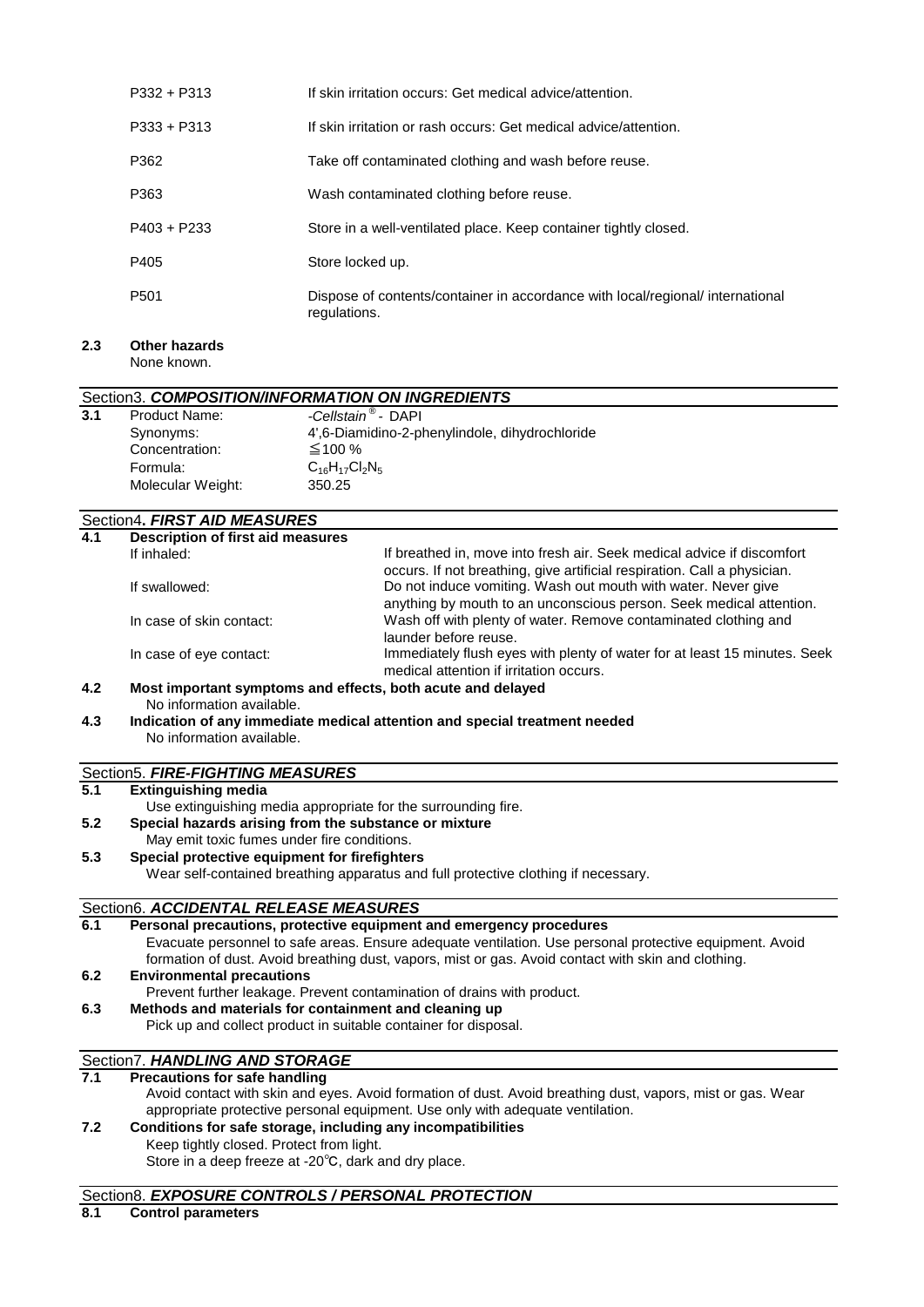| $P332 + P313$    | If skin irritation occurs: Get medical advice/attention.                                       |
|------------------|------------------------------------------------------------------------------------------------|
| $P333 + P313$    | If skin irritation or rash occurs: Get medical advice/attention.                               |
| P362             | Take off contaminated clothing and wash before reuse.                                          |
| P363             | Wash contaminated clothing before reuse.                                                       |
| $P403 + P233$    | Store in a well-ventilated place. Keep container tightly closed.                               |
| P405             | Store locked up.                                                                               |
| P <sub>501</sub> | Dispose of contents/container in accordance with local/regional/ international<br>regulations. |

#### **2.3 Other hazards** None known.

#### Section3. *COMPOSITION/INFORMATION ON INGREDIENTS*

| 3.1 | <b>Product Name:</b> | -Cellstain <sup>®</sup> - DAPI                 |
|-----|----------------------|------------------------------------------------|
|     | Synonyms:            | 4',6-Diamidino-2-phenylindole, dihydrochloride |
|     | Concentration:       | $\leq$ 100 %                                   |
|     | Formula:             | $C_{16}H_{17}Cl_2N_5$                          |
|     | Molecular Weight:    | 350.25                                         |

# Section4**.** *FIRST AID MEASURES*

| 4.1 | Description of first aid measures |                                                                                                                                                    |  |
|-----|-----------------------------------|----------------------------------------------------------------------------------------------------------------------------------------------------|--|
|     | If inhaled:                       | If breathed in, move into fresh air. Seek medical advice if discomfort<br>occurs. If not breathing, give artificial respiration. Call a physician. |  |
|     | If swallowed:                     | Do not induce vomiting. Wash out mouth with water. Never give<br>anything by mouth to an unconscious person. Seek medical attention.               |  |
|     | In case of skin contact:          | Wash off with plenty of water. Remove contaminated clothing and<br>launder before reuse.                                                           |  |
|     | In case of eye contact:           | Immediately flush eyes with plenty of water for at least 15 minutes. Seek<br>medical attention if irritation occurs.                               |  |
|     |                                   |                                                                                                                                                    |  |

#### **4.2 Most important symptoms and effects, both acute and delayed** No information available.

**4.3 Indication of any immediate medical attention and special treatment needed** No information available.

# Section5. *FIRE-FIGHTING MEASURES*

#### **5.1 Extinguishing media**

Use extinguishing media appropriate for the surrounding fire.

- **5.2 Special hazards arising from the substance or mixture**
- May emit toxic fumes under fire conditions.

#### **5.3 Special protective equipment for firefighters**

Wear self-contained breathing apparatus and full protective clothing if necessary.

#### Section6. *ACCIDENTAL RELEASE MEASURES*

**6.1 Personal precautions, protective equipment and emergency procedures 6.2 Environmental precautions** Prevent further leakage. Prevent contamination of drains with product. **6.3 Methods and materials for containment and cleaning up** Pick up and collect product in suitable container for disposal. Evacuate personnel to safe areas. Ensure adequate ventilation. Use personal protective equipment. Avoid formation of dust. Avoid breathing dust, vapors, mist or gas. Avoid contact with skin and clothing.

# Section7. *HANDLING AND STORAGE*<br>7.1 Precautions for safe handling

## **7.1 Precautions for safe handling**

Avoid contact with skin and eyes. Avoid formation of dust. Avoid breathing dust, vapors, mist or gas. Wear appropriate protective personal equipment. Use only with adequate ventilation.

# **7.2 Conditions for safe storage, including any incompatibilities**

Keep tightly closed. Protect from light. Store in a deep freeze at -20℃, dark and dry place.

### Section8. *EXPOSURE CONTROLS / PERSONAL PROTECTION*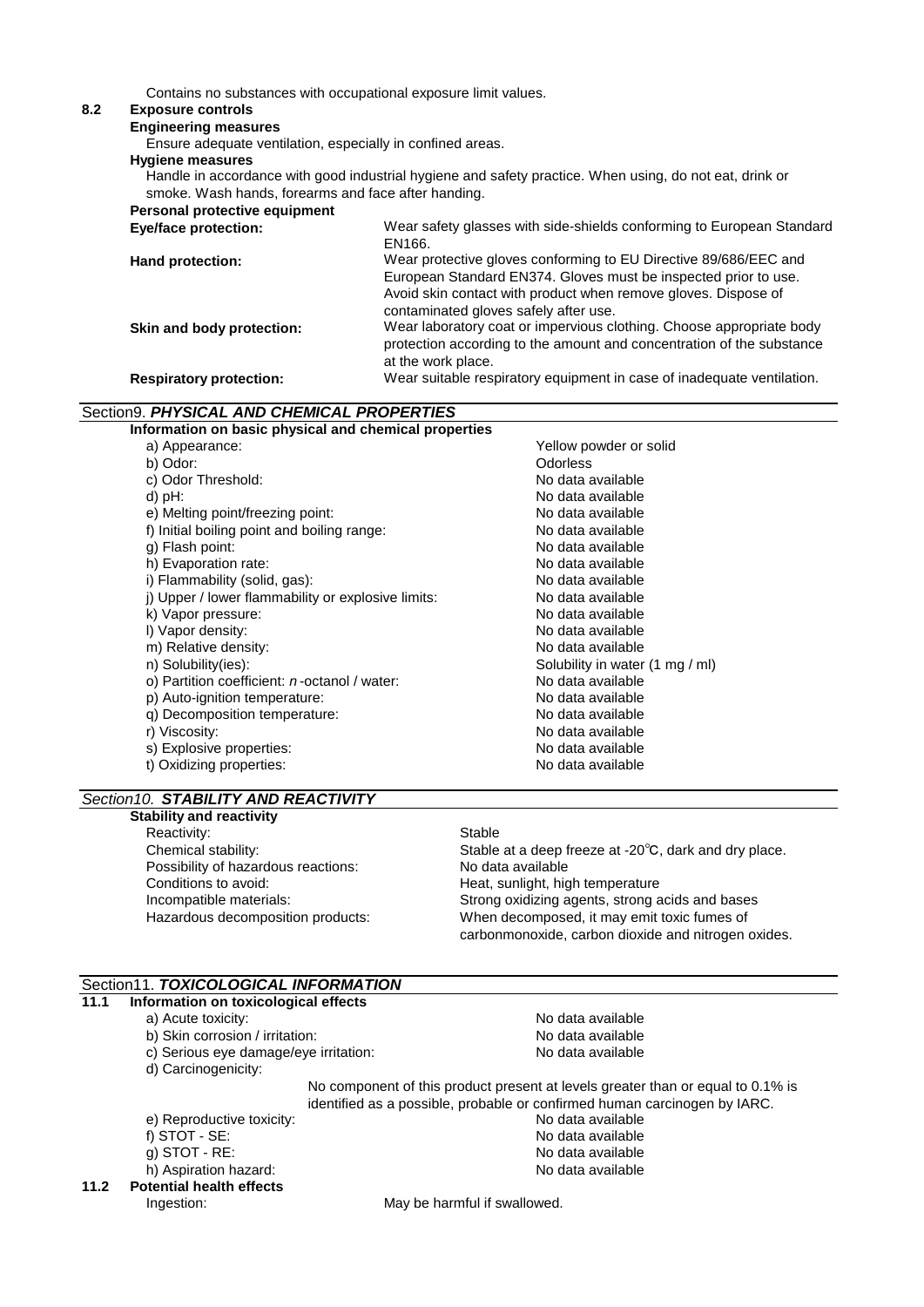Contains no substances with occupational exposure limit values.

### **8.2 Exposure controls**

**Engineering measures**

Ensure adequate ventilation, especially in confined areas.

#### **Hygiene measures**

Handle in accordance with good industrial hygiene and safety practice. When using, do not eat, drink or smoke. Wash hands, forearms and face after handing.

| Personal protective equipment  |                                                                                                                                                                                                                                                |
|--------------------------------|------------------------------------------------------------------------------------------------------------------------------------------------------------------------------------------------------------------------------------------------|
| <b>Eye/face protection:</b>    | Wear safety glasses with side-shields conforming to European Standard<br>EN166.                                                                                                                                                                |
| Hand protection:               | Wear protective gloves conforming to EU Directive 89/686/EEC and<br>European Standard EN374. Gloves must be inspected prior to use.<br>Avoid skin contact with product when remove gloves. Dispose of<br>contaminated gloves safely after use. |
| Skin and body protection:      | Wear laboratory coat or impervious clothing. Choose appropriate body<br>protection according to the amount and concentration of the substance<br>at the work place.                                                                            |
| <b>Respiratory protection:</b> | Wear suitable respiratory equipment in case of inadequate ventilation.                                                                                                                                                                         |

#### Section9. *PHYSICAL AND CHEMICAL PROPERTIES*

| Information on basic physical and chemical properties |                                 |  |
|-------------------------------------------------------|---------------------------------|--|
| a) Appearance:                                        | Yellow powder or solid          |  |
| b) Odor:                                              | <b>Odorless</b>                 |  |
| c) Odor Threshold:                                    | No data available               |  |
| d) $pH$ :                                             | No data available               |  |
| e) Melting point/freezing point:                      | No data available               |  |
| f) Initial boiling point and boiling range:           | No data available               |  |
| g) Flash point:                                       | No data available               |  |
| h) Evaporation rate:                                  | No data available               |  |
| i) Flammability (solid, gas):                         | No data available               |  |
| i) Upper / lower flammability or explosive limits:    | No data available               |  |
| k) Vapor pressure:                                    | No data available               |  |
| I) Vapor density:                                     | No data available               |  |
| m) Relative density:                                  | No data available               |  |
| n) Solubility(ies):                                   | Solubility in water (1 mg / ml) |  |
| o) Partition coefficient: <i>n</i> -octanol / water:  | No data available               |  |
| p) Auto-ignition temperature:                         | No data available               |  |
| q) Decomposition temperature:                         | No data available               |  |
| r) Viscosity:                                         | No data available               |  |
| s) Explosive properties:                              | No data available               |  |
| t) Oxidizing properties:                              | No data available               |  |
|                                                       |                                 |  |

#### *Section10. STABILITY AND REACTIVITY*

#### **Stability and reactivity**

Reactivity: Stable Possibility of hazardous reactions: No data available Conditions to avoid: The Conditions of avoid: The Heat, sunlight, high temperature Hazardous decomposition products:

Chemical stability: Stable at a deep freeze at -20℃, dark and dry place. Incompatible materials: Strong oxidizing agents, strong acids and bases When decomposed, it may emit toxic fumes of carbonmonoxide, carbon dioxide and nitrogen oxides.

#### Section11. *TOXICOLOGICAL INFORMATION*

|      | Section11. TOXICOLOGICAL INFORMATION                                      |                                                                                 |  |
|------|---------------------------------------------------------------------------|---------------------------------------------------------------------------------|--|
| 11.1 | Information on toxicological effects                                      |                                                                                 |  |
|      | a) Acute toxicity:                                                        | No data available                                                               |  |
|      | b) Skin corrosion / irritation:                                           | No data available                                                               |  |
|      | c) Serious eye damage/eye irritation:                                     | No data available                                                               |  |
|      | d) Carcinogenicity:                                                       |                                                                                 |  |
|      |                                                                           | No component of this product present at levels greater than or equal to 0.1% is |  |
|      | identified as a possible, probable or confirmed human carcinogen by IARC. |                                                                                 |  |
|      | e) Reproductive toxicity:                                                 | No data available                                                               |  |
|      | f) $STOT - SE$ :                                                          | No data available                                                               |  |
|      | $q)$ STOT - RE:                                                           | No data available                                                               |  |
|      | h) Aspiration hazard:                                                     | No data available                                                               |  |
| 11.2 | <b>Potential health effects</b>                                           |                                                                                 |  |
|      | Ingestion:                                                                | May be harmful if swallowed.                                                    |  |